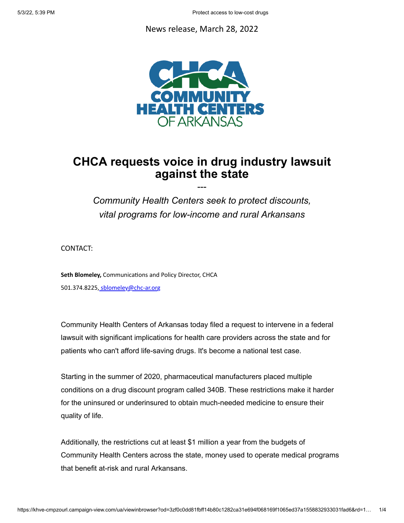## News release, March 28, 2022



## **CHCA requests voice in drug industry lawsuit against the state**

---

*Community Health Centers seek to protect discounts, vital programs for low-income and rural Arkansans*

CONTACT:

**Seth Blomeley,** Communications and Policy Director, CHCA 501.374.8225, [sblomeley@chc-ar.org](mailto:sblomeley@chc-ar.org?subject=)

Community Health Centers of Arkansas today filed a request to intervene in a federal lawsuit with significant implications for health care providers across the state and for patients who can't afford life-saving drugs. It's become a national test case.

Starting in the summer of 2020, pharmaceutical manufacturers placed multiple conditions on a drug discount program called 340B. These restrictions make it harder for the uninsured or underinsured to obtain much-needed medicine to ensure their quality of life.

Additionally, the restrictions cut at least \$1 million a year from the budgets of Community Health Centers across the state, money used to operate medical programs that benefit at-risk and rural Arkansans.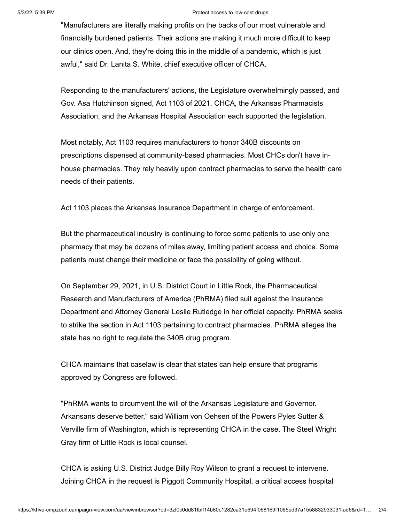## 5/3/22, 5:39 PM Protect access to low-cost drugs

"Manufacturers are literally making profits on the backs of our most vulnerable and financially burdened patients. Their actions are making it much more difficult to keep our clinics open. And, they're doing this in the middle of a pandemic, which is just awful," said Dr. Lanita S. White, chief executive officer of CHCA.

Responding to the manufacturers' actions, the Legislature overwhelmingly passed, and Gov. Asa Hutchinson signed, Act 1103 of 2021. CHCA, the Arkansas Pharmacists Association, and the Arkansas Hospital Association each supported the legislation.

Most notably, Act 1103 requires manufacturers to honor 340B discounts on prescriptions dispensed at community-based pharmacies. Most CHCs don't have inhouse pharmacies. They rely heavily upon contract pharmacies to serve the health care needs of their patients.

Act 1103 places the Arkansas Insurance Department in charge of enforcement.

But the pharmaceutical industry is continuing to force some patients to use only one pharmacy that may be dozens of miles away, limiting patient access and choice. Some patients must change their medicine or face the possibility of going without.

On September 29, 2021, in U.S. District Court in Little Rock, the Pharmaceutical Research and Manufacturers of America (PhRMA) filed suit against the Insurance Department and Attorney General Leslie Rutledge in her official capacity. PhRMA seeks to strike the section in Act 1103 pertaining to contract pharmacies. PhRMA alleges the state has no right to regulate the 340B drug program.

CHCA maintains that caselaw is clear that states can help ensure that programs approved by Congress are followed.

"PhRMA wants to circumvent the will of the Arkansas Legislature and Governor. Arkansans deserve better," said William von Oehsen of the Powers Pyles Sutter & Verville firm of Washington, which is representing CHCA in the case. The Steel Wright Gray firm of Little Rock is local counsel.

CHCA is asking U.S. District Judge Billy Roy Wilson to grant a request to intervene. Joining CHCA in the request is Piggott Community Hospital, a critical access hospital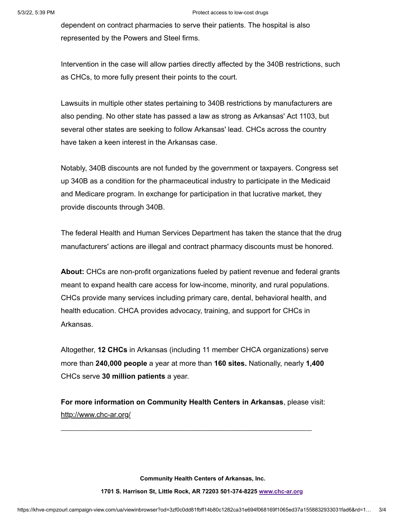## 5/3/22, 5:39 PM Protect access to low-cost drugs

dependent on contract pharmacies to serve their patients. The hospital is also represented by the Powers and Steel firms.

Intervention in the case will allow parties directly affected by the 340B restrictions, such as CHCs, to more fully present their points to the court.

Lawsuits in multiple other states pertaining to 340B restrictions by manufacturers are also pending. No other state has passed a law as strong as Arkansas' Act 1103, but several other states are seeking to follow Arkansas' lead. CHCs across the country have taken a keen interest in the Arkansas case.

Notably, 340B discounts are not funded by the government or taxpayers. Congress set up 340B as a condition for the pharmaceutical industry to participate in the Medicaid and Medicare program. In exchange for participation in that lucrative market, they provide discounts through 340B.

The federal Health and Human Services Department has taken the stance that the drug manufacturers' actions are illegal and contract pharmacy discounts must be honored.

**About:** CHCs are non-profit organizations fueled by patient revenue and federal grants meant to expand health care access for low-income, minority, and rural populations. CHCs provide many services including primary care, dental, behavioral health, and health education. CHCA provides advocacy, training, and support for CHCs in Arkansas.

Altogether, **12 CHCs** in Arkansas (including 11 member CHCA organizations) serve more than **240,000 people** a year at more than **160 sites.** Nationally, nearly **1,400** CHCs serve **30 million patients** a year.

**For more information on Community Health Centers in Arkansas**, please visit: <http://www.chc-ar.org/>

 $\mathcal{L}_\text{max}$  , and the set of the set of the set of the set of the set of the set of the set of the set of the set of the set of the set of the set of the set of the set of the set of the set of the set of the set of the

**Community Health Centers of Arkansas, Inc.**

**1701 S. Harrison St, Little Rock, AR 72203 501-374-8225 [www.chc-ar.org](http://www.chc-ar.org/)**